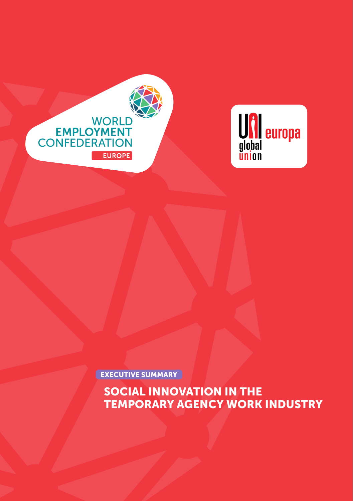# SOCIAL INNOVATION IN THE TEMPORARY AGENCY WORK INDUSTRY

EXECUTIVE SUMMARY



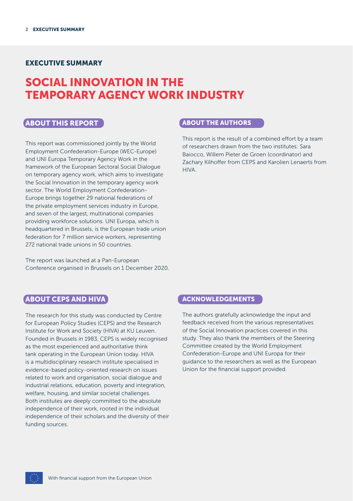## EXECUTIVE SUMMARY

## SOCIAL INNOVATION IN THE TEMPORARY AGENCY WORK INDUSTRY

#### ABOUT THIS REPORT

This report was commissioned jointly by the World Employment Confederation-Europe (WEC-Europe) and UNI Europa Temporary Agency Work in the framework of the European Sectoral Social Dialogue on temporary agency work, which aims to investigate the Social Innovation in the temporary agency work sector. The World Employment Confederation-Europe brings together 29 national federations of the private employment services industry in Europe, and seven of the largest, multinational companies providing workforce solutions. UNI Europa, which is headquartered in Brussels, is the European trade union federation for 7 million service workers, representing 272 national trade unions in 50 countries.

The report was launched at a Pan-European Conference organised in Brussels on 1 December 2020.

#### ABOUT THE AUTHORS

This report is the result of a combined effort by a team of researchers drawn from the two institutes: Sara Baiocco, Willem Pieter de Groen (coordinator) and Zachary Kilhoffer from CEPS and Karolien Lenaerts from HIVA.

## **ABOUT CEPS AND HIVA**

The research for this study was conducted by Centre for European Policy Studies (CEPS) and the Research Institute for Work and Society (HIVA) at KU Leuven. Founded in Brussels in 1983, CEPS is widely recognised as the most experienced and authoritative think tank operating in the European Union today. HIVA is a multidisciplinary research institute specialised in evidence-based policy-oriented research on issues related to work and organisation, social dialogue and industrial relations, education, poverty and integration, welfare, housing, and similar societal challenges. Both institutes are deeply committed to the absolute independence of their work, rooted in the individual independence of their scholars and the diversity of their funding sources.

#### ACKNOWLEDGEMENTS

The authors gratefully acknowledge the input and feedback received from the various representatives of the Social Innovation practices covered in this study. They also thank the members of the Steering Committee created by the World Employment Confederation-Europe and UNI Europa for their guidance to the researchers as well as the European Union for the financial support provided.

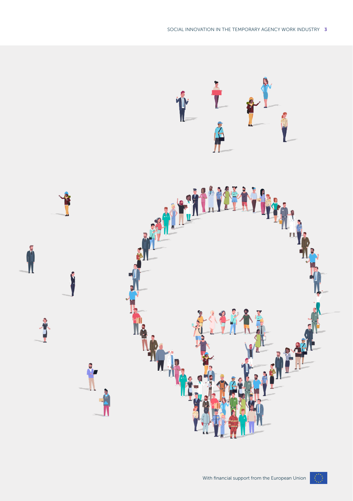

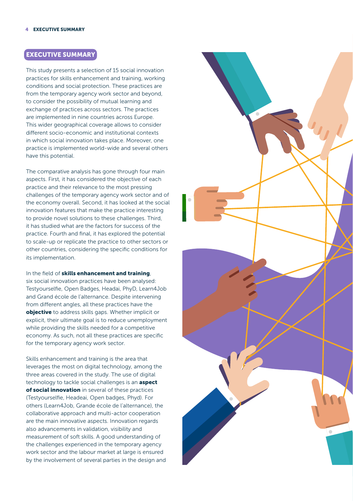## EXECUTIVE SUMMARY

This study presents a selection of 15 social innovation practices for skills enhancement and training, working conditions and social protection. These practices are from the temporary agency work sector and beyond, to consider the possibility of mutual learning and exchange of practices across sectors. The practices are implemented in nine countries across Europe. This wider geographical coverage allows to consider different socio-economic and institutional contexts in which social innovation takes place. Moreover, one practice is implemented world-wide and several others have this potential.

The comparative analysis has gone through four main aspects. First, it has considered the objective of each practice and their relevance to the most pressing challenges of the temporary agency work sector and of the economy overall. Second, it has looked at the social innovation features that make the practice interesting to provide novel solutions to these challenges. Third, it has studied what are the factors for success of the practice. Fourth and final, it has explored the potential to scale-up or replicate the practice to other sectors or other countries, considering the specific conditions for its implementation.

In the field of skills enhancement and training, six social innovation practices have been analysed: Testyourselfie, Open Badges, Headai, PhyD, Learn4Job and Grand école de l'alternance. Despite intervening from different angles, all these practices have the objective to address skills gaps. Whether implicit or explicit, their ultimate goal is to reduce unemployment while providing the skills needed for a competitive economy. As such, not all these practices are specific for the temporary agency work sector.

Skills enhancement and training is the area that leverages the most on digital technology, among the three areas covered in the study. The use of digital technology to tackle social challenges is an **aspect** of social innovation in several of these practices (Testyourselfie, Headeai, Open badges, Phyd). For others (Learn4Job, Grande école de l'alternance), the collaborative approach and multi-actor cooperation are the main innovative aspects. Innovation regards also advancements in validation, visibility and measurement of soft skills. A good understanding of the challenges experienced in the temporary agency work sector and the labour market at large is ensured by the involvement of several parties in the design and

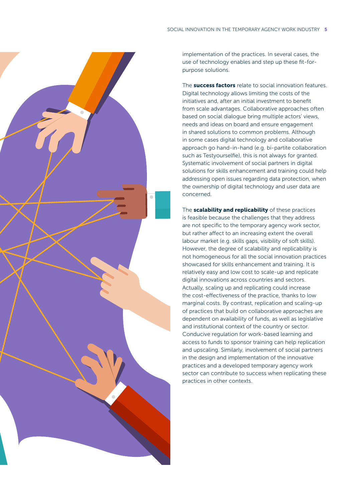

implementation of the practices. In several cases, the use of technology enables and step up these fit-forpurpose solutions.

The **success factors** relate to social innovation features. Digital technology allows limiting the costs of the initiatives and, after an initial investment to benefit from scale advantages. Collaborative approaches often based on social dialogue bring multiple actors' views, needs and ideas on board and ensure engagement in shared solutions to common problems. Although in some cases digital technology and collaborative approach go hand-in-hand (e.g. bi-partite collaboration such as Testyourselfie), this is not always for granted. Systematic involvement of social partners in digital solutions for skills enhancement and training could help addressing open issues regarding data protection, when the ownership of digital technology and user data are concerned.

The **scalability and replicability** of these practices is feasible because the challenges that they address are not specific to the temporary agency work sector, but rather affect to an increasing extent the overall labour market (e.g. skills gaps, visibility of soft skills). However, the degree of scalability and replicability is not homogeneous for all the social innovation practices showcased for skills enhancement and training. It is relatively easy and low cost to scale-up and replicate digital innovations across countries and sectors. Actually, scaling up and replicating could increase the cost-effectiveness of the practice, thanks to low marginal costs. By contrast, replication and scaling-up of practices that build on collaborative approaches are dependent on availability of funds, as well as legislative and institutional context of the country or sector. Conducive regulation for work-based learning and access to funds to sponsor training can help replication and upscaling. Similarly, involvement of social partners in the design and implementation of the innovative practices and a developed temporary agency work sector can contribute to success when replicating these practices in other contexts.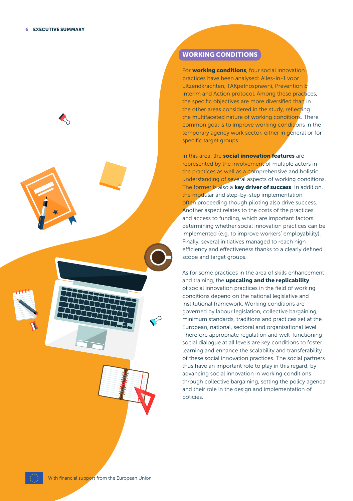

## WORKING CONDITIONS

For **working conditions**, four social innovation practices have been analysed: Alles-in-1 voor uitzendkrachten, TAKpełnosprawni, Prevention & Interim and Action protocol. Among these practices, the specific objectives are more diversified than in the other areas considered in the study, reflecting the multifaceted nature of working conditions. There common goal is to improve working conditions in the temporary agency work sector, either in general or for specific target groups.

In this area, the **social innovation features** are represented by the involvement of multiple actors in the practices as well as a comprehensive and holistic understanding of several aspects of working conditions. The former is also a **key driver of success**. In addition, the modular and step-by-step implementation, often proceeding though piloting also drive success. Another aspect relates to the costs of the practices and access to funding, which are important factors determining whether social innovation practices can be implemented (e.g. to improve workers' employability). Finally, several initiatives managed to reach high efficiency and effectiveness thanks to a clearly defined scope and target groups.

As for some practices in the area of skills enhancement and training, the upscaling and the replicability of social innovation practices in the field of working conditions depend on the national legislative and institutional framework. Working conditions are governed by labour legislation, collective bargaining, minimum standards, traditions and practices set at the European, national, sectoral and organisational level. Therefore appropriate regulation and well-functioning social dialogue at all levels are key conditions to foster learning and enhance the scalability and transferability of these social innovation practices. The social partners thus have an important role to play in this regard, by advancing social innovation in working conditions through collective bargaining, setting the policy agenda and their role in the design and implementation of policies.

With financial support from the European Union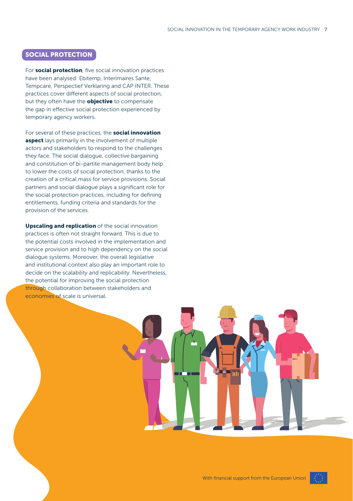#### SOCIAL PROTECTION

For social protection, five social innovation practices have been analysed: Ebitemp, Interimaires Sante, Tempcare, Perspectief Verklaring and CAP INTER. These practices cover different aspects of social protection, but they often have the **objective** to compensate the gap in effective social protection experienced by temporary agency workers.

For several of these practices, the **social innovation** aspect lays primarily in the involvement of multiple actors and stakeholders to respond to the challenges they face. The social dialogue, collective bargaining and constitution of bi-partite management body help to lower the costs of social protection, thanks to the creation of a critical mass for service provisions. Social partners and social dialogue plays a significant role for the social protection practices, including for defining entitlements, funding criteria and standards for the provision of the services.

Upscaling and replication of the social innovation practices is often not straight forward. This is due to the potential costs involved in the implementation and service provision and to high dependency on the social dialogue systems. Moreover, the overall legislative and institutional context also play an important role to decide on the scalability and replicability. Nevertheless, the potential for improving the social protection through collaboration between stakeholders and economies of scale is universal.

With financial support from the European Union